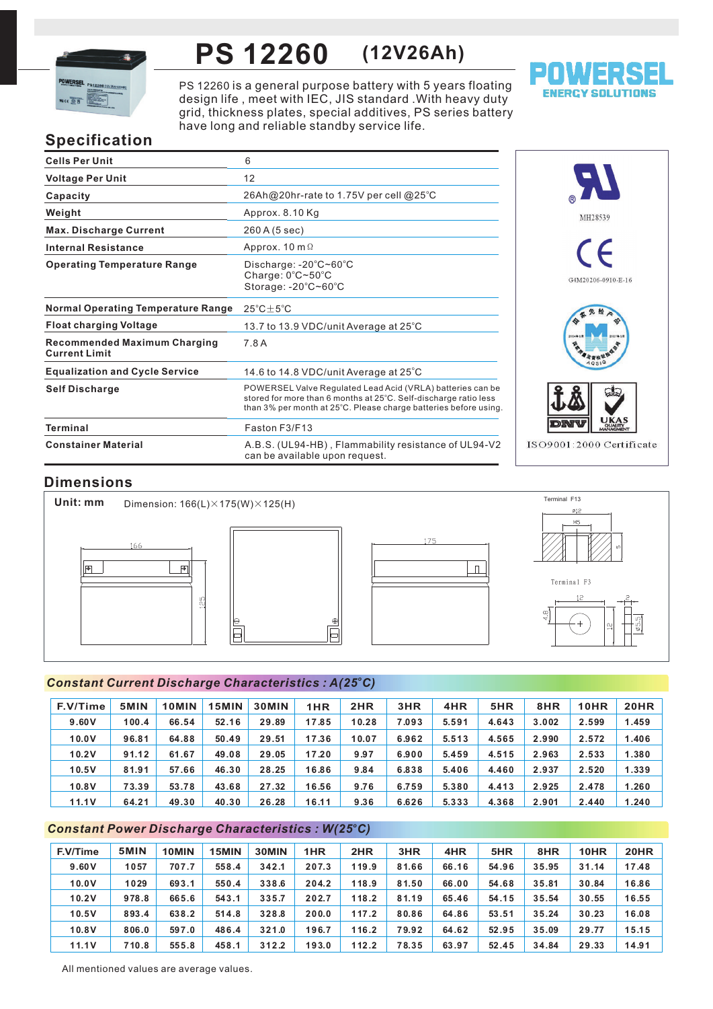

# **PS 12260 (12V26Ah)**

PS 12260 is a general purpose battery with 5 years floating design life, meet with IEC, JIS standard . With heavy duty grid, thickness plates, special additives, PS series battery have long and reliable standby service life.



# **Specification**

| <b>Cells Per Unit</b>                                       | 6                                                                                                                                                                                                  |
|-------------------------------------------------------------|----------------------------------------------------------------------------------------------------------------------------------------------------------------------------------------------------|
| <b>Voltage Per Unit</b>                                     | 12                                                                                                                                                                                                 |
| Capacity                                                    | 26Ah@20hr-rate to 1.75V per cell @25°C                                                                                                                                                             |
| Weight                                                      | Approx. 8.10 Kg                                                                                                                                                                                    |
| <b>Max. Discharge Current</b>                               | 260 A (5 sec)                                                                                                                                                                                      |
| <b>Internal Resistance</b>                                  | Approx. $10 \text{ m } \Omega$                                                                                                                                                                     |
| <b>Operating Temperature Range</b>                          | Discharge: $-20^{\circ}$ C $\sim$ 60 $^{\circ}$ C<br>Charge: 0°C~50°C<br>Storage: -20°C~60°C                                                                                                       |
| <b>Normal Operating Temperature Range</b>                   | $25^{\circ}$ C $\pm$ 5 $^{\circ}$ C                                                                                                                                                                |
| <b>Float charging Voltage</b>                               | 13.7 to 13.9 VDC/unit Average at 25°C                                                                                                                                                              |
| <b>Recommended Maximum Charging</b><br><b>Current Limit</b> | 7.8 A                                                                                                                                                                                              |
| <b>Equalization and Cycle Service</b>                       | 14.6 to 14.8 VDC/unit Average at 25°C                                                                                                                                                              |
| <b>Self Discharge</b>                                       | POWERSEL Valve Regulated Lead Acid (VRLA) batteries can be<br>stored for more than 6 months at 25°C. Self-discharge ratio less<br>than 3% per month at 25°C. Please charge batteries before using. |
| <b>Terminal</b>                                             | Faston F3/F13                                                                                                                                                                                      |
| <b>Constainer Material</b>                                  | A.B.S. (UL94-HB), Flammability resistance of UL94-V2<br>can be available upon request.                                                                                                             |



# **Dimensions**



## *<sup>o</sup> Constant Current Discharge Characteristics : A(25 C)*

| F.V/Time | 5MIN  | 10MIN | 15MIN | <b>30MIN</b> | 1HR   | 2HR   | 3HR   | 4HR   | 5HR   | 8HR   | <b>10HR</b> | <b>20HR</b> |
|----------|-------|-------|-------|--------------|-------|-------|-------|-------|-------|-------|-------------|-------------|
| 9.60V    | 100.4 | 66.54 | 52.16 | 29.89        | 17.85 | 10.28 | 7.093 | 5.591 | 4.643 | 3.002 | 2.599       | 1.459       |
| 10.0V    | 96.81 | 64.88 | 50.49 | 29.51        | 17.36 | 10.07 | 6.962 | 5.513 | 4.565 | 2.990 | 2.572       | 1.406       |
| 10.2V    | 91.12 | 61.67 | 49.08 | 29.05        | 17.20 | 9.97  | 6.900 | 5.459 | 4.515 | 2.963 | 2.533       | 1.380       |
| 10.5V    | 81.91 | 57.66 | 46.30 | 28.25        | 16.86 | 9.84  | 6.838 | 5.406 | 4.460 | 2.937 | 2.520       | 1.339       |
| 10.8V    | 73.39 | 53.78 | 43.68 | 27.32        | 16.56 | 9.76  | 6.759 | 5.380 | 4.413 | 2.925 | 2.478       | 1.260       |
| 11.1V    | 64.21 | 49.30 | 40.30 | 26.28        | 16.11 | 9.36  | 6.626 | 5.333 | 4.368 | 2.901 | 2.440       | 1.240       |

## *<sup>o</sup> Constant Power Discharge Characteristics : W(25 C)*

| F.V/Time | 5MIN  | 10MIN | 15MIN | 30MIN | 1HR   | 2HR   | 3HR   | 4HR   | 5HR   | 8HR   | 10HR  | <b>20HR</b> |
|----------|-------|-------|-------|-------|-------|-------|-------|-------|-------|-------|-------|-------------|
| 9.60V    | 1057  | 707.7 | 558.4 | 342.1 | 207.3 | 119.9 | 81.66 | 66.16 | 54.96 | 35.95 | 31.14 | 17.48       |
| 10.0V    | 1029  | 693.1 | 550.4 | 338.6 | 204.2 | 118.9 | 81.50 | 66.00 | 54.68 | 35.81 | 30.84 | 16.86       |
| 10.2V    | 978.8 | 665.6 | 543.1 | 335.7 | 202.7 | 118.2 | 81.19 | 65.46 | 54.15 | 35.54 | 30.55 | 16.55       |
| 10.5V    | 893.4 | 638.2 | 514.8 | 328.8 | 200.0 | 117.2 | 80.86 | 64.86 | 53.51 | 35.24 | 30.23 | 16.08       |
| 10.8V    | 806.0 | 597.0 | 486.4 | 321.0 | 196.7 | 116.2 | 79.92 | 64.62 | 52.95 | 35.09 | 29.77 | 15.15       |
| 11.1V    | 710.8 | 555.8 | 458.1 | 312.2 | 193.0 | 112.2 | 78.35 | 63.97 | 52.45 | 34.84 | 29.33 | 14.91       |

All mentioned values are average values.